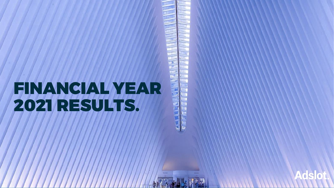# FINANCIAL YEAR 2021 RESULTS.

d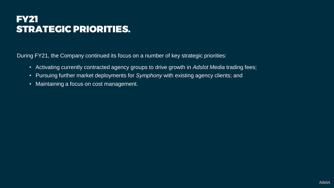### FY21 STRATEGIC PRIORITIES.

During FY21, the Company continued its focus on a number of key strategic priorities:

- Activating currently contracted agency groups to drive growth in *Adslot Media* trading fees;
- Pursuing further market deployments for *Symphony* with existing agency clients; and
- Maintaining a focus on cost management.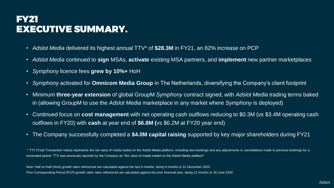#### FY21 EXECUTIVE SUMMARY.

- *Adslot Media* delivered its highest annual TTV\* of **\$28.3M** in FY21, an 82% increase on PCP
- *Adslot Media* continued to **sign** MSAs, **activate** existing MSA partners, and **implement** new partner marketplaces
- *Symphony* licence fees **grew by 10%+** HoH
- *Symphony* activated for **Omnicom Media Group** in The Netherlands, diversifying the Company's client footprint
- Minimum **three-year extension** of global GroupM *Symphony* contract signed, with *Adslot Media* trading terms baked in (allowing GroupM to use the *Adslot Media* marketplace in any market where *Symphony* is deployed)
- Continued focus on **cost management** with net operating cash outflows reducing to \$0.3M (vs \$3.4M operating cash outflows in FY20) with **cash** at year end of **\$6.8M (**vs \$6.2M at FY20 year end)
- The Company successfully completed a **\$4.0M capital raising** supported by key major shareholders during FY21

\* TTV (Total Transaction Value) represents the net value of media traded on the Adslot Media platform, including new bookings and any adjustments or cancellations made to previous bookings for a nominated period. TTV was previously reported by the Company as "the value of media traded on the Adslot Media platform"

Note: Half on Half (HoH) growth rates referenced are calculated against the last 6 months, being 6 months to 31 December 2020 Prior Corresponding Period (PCP) growth rates rates referenced are calculated against the prior financial year, being 12 months to 30 June 2020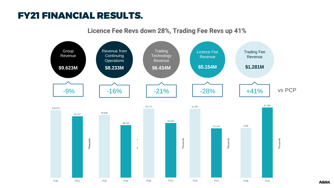#### FY21 FINANCIAL RESULTS.

**Licence Fee Revs down 28%, Trading Fee Revs up 41%**

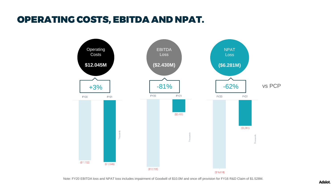#### OPERATING COSTS, EBITDA AND NPAT.



Note: FY20 EBITDA loss and NPAT loss includes impairment of Goodwill of \$10.0M and once off provision for FY16 R&D Claim of \$1.528M.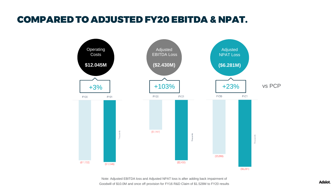#### COMPARED TO ADJUSTED FY20 EBITDA & NPAT.



Note: Adjusted EBITDA loss and Adjusted NPAT loss is after adding back impairment of Goodwill of \$10.0M and once off provision for FY16 R&D Claim of \$1.528M to FY20 results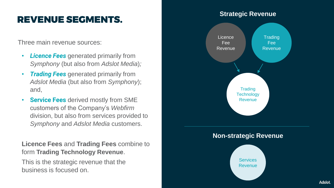## REVENUE SEGMENTS.

Three main revenue sources:

- **Licence Fees** generated primarily from *Symphony* (but also from *Adslot Media*)*;*
- *Trading Fees* generated primarily from *Adslot Media* (but also from *Symphony*); and,
- **Service Fees** derived mostly from SME customers of the Company's *Webfirm* division, but also from services provided to *Symphony* and *Adslot Media* customers.

**Licence Fees** and **Trading Fees** combine to form **Trading Technology Revenue**.

This is the strategic revenue that the business is focused on.

#### **Strategic Revenue**

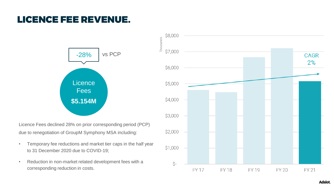### LICENCE FEE REVENUE.



Licence Fees declined 28% on prior corresponding period (PCP) due to renegotiation of GroupM Symphony MSA including:

- Temporary fee reductions and market tier caps in the half year to 31 December 2020 due to COVID-19;
- Reduction in non-market related development fees with a corresponding reduction in costs.

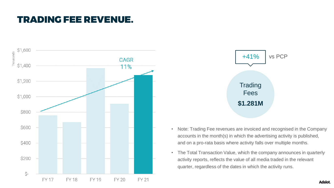#### TRADING FEE REVENUE.





- Note: Trading Fee revenues are invoiced and recognised in the Company accounts in the month(s) in which the advertising activity is published, and on a pro-rata basis where activity falls over multiple months.
- The Total Transaction Value, which the company announces in quarterly activity reports, reflects the value of all media traded in the relevant quarter, regardless of the dates in which the activity runs.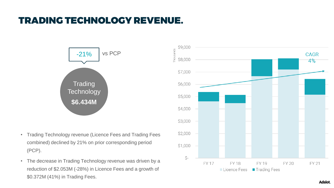# TRADING TECHNOLOGY REVENUE.



- Trading Technology revenue (Licence Fees and Trading Fees combined) declined by 21% on prior corresponding period (PCP).
- The decrease in Trading Technology revenue was driven by a reduction of \$2.053M (-28%) in Licence Fees and a growth of \$0.372M (41%) in Trading Fees.

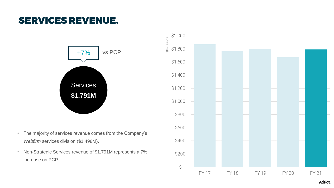#### SERVICES REVENUE.



- The majority of services revenue comes from the Company's *Webfirm* services division (\$1.498M).
- Non-Strategic Services revenue of \$1.791M represents a 7% increase on PCP.

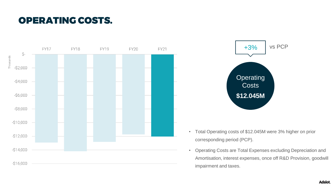## OPERATING COSTS.



![](_page_11_Figure_2.jpeg)

- Total Operating costs of \$12.045M were 3% higher on prior corresponding period (PCP).
- Operating Costs are Total Expenses excluding Depreciation and Amortisation, interest expenses, once off R&D Provision, goodwill impairment and taxes.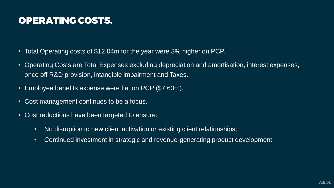# OPERATING COSTS.

- Total Operating costs of \$12.04m for the year were 3% higher on PCP.
- Operating Costs are Total Expenses excluding depreciation and amortisation, interest expenses, once off R&D provision, intangible impairment and Taxes.
- Employee benefits expense were flat on PCP (\$7.63m).
- Cost management continues to be a focus.
- Cost reductions have been targeted to ensure:
	- No disruption to new client activation or existing client relationships;
	- Continued investment in strategic and revenue-generating product development.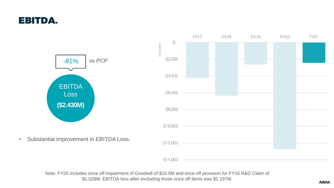#### EBITDA.

![](_page_13_Figure_1.jpeg)

Note: FY20 includes once off impairment of Goodwill of \$10.0M and once off provision for FY16 R&D Claim of \$1.528M. EBITDA loss after excluding those once off items was \$1.197M.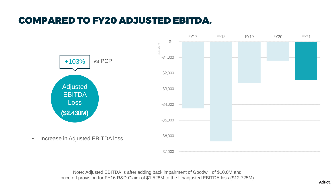# COMPARED TO FY20 ADJUSTED EBITDA.

![](_page_14_Figure_1.jpeg)

Note: Adjusted EBITDA is after adding back impairment of Goodwill of \$10.0M and once off provision for FY16 R&D Claim of \$1.528M to the Unadjusted EBITDA loss (\$12.725M)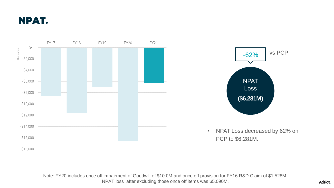NPAT.

![](_page_15_Figure_1.jpeg)

![](_page_15_Figure_2.jpeg)

• NPAT Loss decreased by 62% on PCP to \$6.281M.

Note: FY20 includes once off impairment of Goodwill of \$10.0M and once off provision for FY16 R&D Claim of \$1.528M. NPAT loss after excluding those once off items was \$5.090M.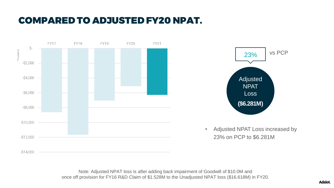# COMPARED TO ADJUSTED FY20 NPAT.

![](_page_16_Figure_1.jpeg)

![](_page_16_Figure_2.jpeg)

• Adjusted NPAT Loss increased by 23% on PCP to \$6.281M

Note: Adjusted NPAT loss is after adding back impairment of Goodwill of \$10.0M and once off provision for FY16 R&D Claim of \$1.528M to the Unadjusted NPAT loss (\$16.618M) in FY20.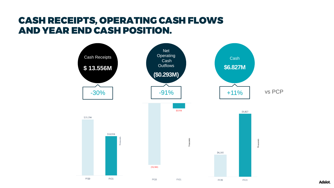#### CASH RECEIPTS, OPERATING CASH FLOWS AND YEAR END CASH POSITION.

![](_page_17_Figure_1.jpeg)

**Adslot**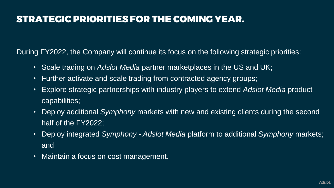# STRATEGIC PRIORITIES FOR THE COMING YEAR.

During FY2022, the Company will continue its focus on the following strategic priorities:

- Scale trading on *Adslot Media* partner marketplaces in the US and UK;
- Further activate and scale trading from contracted agency groups;
- Explore strategic partnerships with industry players to extend *Adslot Media* product capabilities;
- Deploy additional *Symphony* markets with new and existing clients during the second half of the FY2022:
- Deploy integrated *Symphony - Adslot Media* platform to additional *Symphony* markets; and
- Maintain a focus on cost management.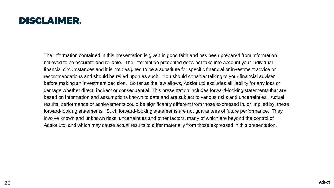#### DISCLAIMER.

The information contained in this presentation is given in good faith and has been prepared from information believed to be accurate and reliable. The information presented does not take into account your individual financial circumstances and it is not designed to be a substitute for specific financial or investment advice or recommendations and should be relied upon as such. You should consider talking to your financial adviser before making an investment decision. So far as the law allows, Adslot Ltd excludes all liability for any loss or damage whether direct, indirect or consequential. This presentation includes forward-looking statements that are based on information and assumptions known to date and are subject to various risks and uncertainties. Actual results, performance or achievements could be significantly different from those expressed in, or implied by, these forward-looking statements. Such forward-looking statements are not guarantees of future performance. They involve known and unknown risks, uncertainties and other factors, many of which are beyond the control of Adslot Ltd, and which may cause actual results to differ materially from those expressed in this presentation.